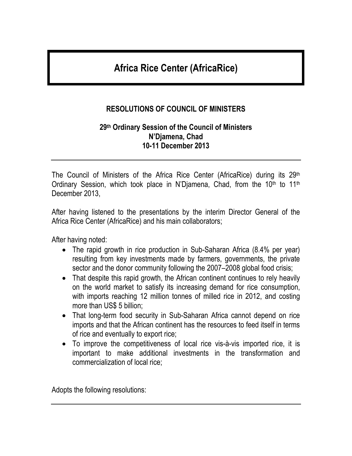# **Africa Rice Center (AfricaRice)**

# **RESOLUTIONS OF COUNCIL OF MINISTERS**

#### **29 th Ordinary Session of the Council of Ministers N'Djamena, Chad 10-11 December 2013**

The Council of Ministers of the Africa Rice Center (AfricaRice) during its 29th Ordinary Session, which took place in N'Djamena, Chad, from the 10<sup>th</sup> to 11<sup>th</sup> December 2013,

After having listened to the presentations by the interim Director General of the Africa Rice Center (AfricaRice) and his main collaborators;

After having noted:

- The rapid growth in rice production in Sub-Saharan Africa (8.4% per year) resulting from key investments made by farmers, governments, the private sector and the donor community following the 2007–2008 global food crisis;
- That despite this rapid growth, the African continent continues to rely heavily on the world market to satisfy its increasing demand for rice consumption, with imports reaching 12 million tonnes of milled rice in 2012, and costing more than US\$ 5 billion;
- That long-term food security in Sub-Saharan Africa cannot depend on rice imports and that the African continent has the resources to feed itself in terms of rice and eventually to export rice;
- To improve the competitiveness of local rice vis-à-vis imported rice, it is important to make additional investments in the transformation and commercialization of local rice;

Adopts the following resolutions: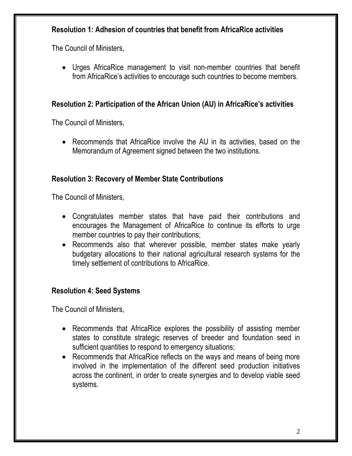## **Resolution 1: Adhesion of countries that benefit from AfricaRice activities**

The Council of Ministers,

 Urges AfricaRice management to visit non-member countries that benefit from AfricaRice's activities to encourage such countries to become members.

## **Resolution 2: Participation of the African Union (AU) in AfricaRice's activities**

The Council of Ministers,

 Recommends that AfricaRice involve the AU in its activities, based on the Memorandum of Agreement signed between the two institutions.

## **Resolution 3: Recovery of Member State Contributions**

The Council of Ministers,

- Congratulates member states that have paid their contributions and encourages the Management of AfricaRice to continue its efforts to urge member countries to pay their contributions;
- Recommends also that wherever possible, member states make yearly budgetary allocations to their national agricultural research systems for the timely settlement of contributions to AfricaRice.

## **Resolution 4: Seed Systems**

The Council of Ministers,

- Recommends that AfricaRice explores the possibility of assisting member states to constitute strategic reserves of breeder and foundation seed in sufficient quantities to respond to emergency situations;
- Recommends that AfricaRice reflects on the ways and means of being more involved in the implementation of the different seed production initiatives across the continent, in order to create synergies and to develop viable seed systems.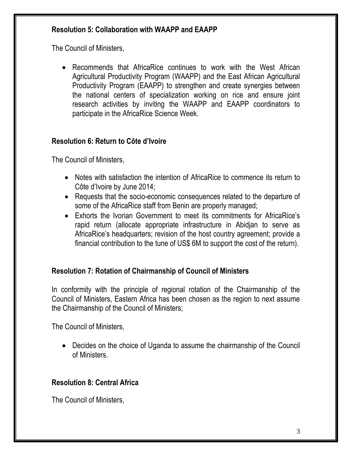## **Resolution 5: Collaboration with WAAPP and EAAPP**

The Council of Ministers,

 Recommends that AfricaRice continues to work with the West African Agricultural Productivity Program (WAAPP) and the East African Agricultural Productivity Program (EAAPP) to strengthen and create synergies between the national centers of specialization working on rice and ensure joint research activities by inviting the WAAPP and EAAPP coordinators to participate in the AfricaRice Science Week.

## **Resolution 6: Return to Côte d'Ivoire**

The Council of Ministers,

- Notes with satisfaction the intention of AfricaRice to commence its return to Côte d'Ivoire by June 2014;
- Requests that the socio-economic consequences related to the departure of some of the AfricaRice staff from Benin are properly managed;
- Exhorts the Ivorian Government to meet its commitments for AfricaRice's rapid return (allocate appropriate infrastructure in Abidjan to serve as AfricaRice's headquarters; revision of the host country agreement; provide a financial contribution to the tune of US\$ 6M to support the cost of the return).

# **Resolution 7: Rotation of Chairmanship of Council of Ministers**

In conformity with the principle of regional rotation of the Chairmanship of the Council of Ministers, Eastern Africa has been chosen as the region to next assume the Chairmanship of the Council of Ministers;

The Council of Ministers,

 Decides on the choice of Uganda to assume the chairmanship of the Council of Ministers.

# **Resolution 8: Central Africa**

The Council of Ministers,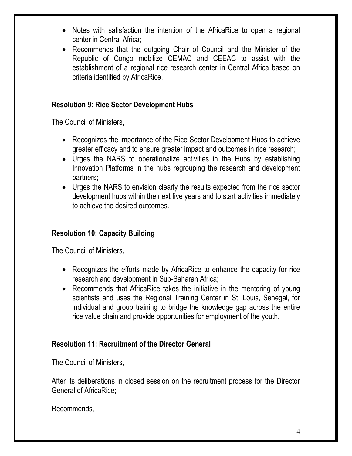- Notes with satisfaction the intention of the AfricaRice to open a regional center in Central Africa;
- Recommends that the outgoing Chair of Council and the Minister of the Republic of Congo mobilize CEMAC and CEEAC to assist with the establishment of a regional rice research center in Central Africa based on criteria identified by AfricaRice.

#### **Resolution 9: Rice Sector Development Hubs**

The Council of Ministers,

- Recognizes the importance of the Rice Sector Development Hubs to achieve greater efficacy and to ensure greater impact and outcomes in rice research;
- Urges the NARS to operationalize activities in the Hubs by establishing Innovation Platforms in the hubs regrouping the research and development partners;
- Urges the NARS to envision clearly the results expected from the rice sector development hubs within the next five years and to start activities immediately to achieve the desired outcomes.

## **Resolution 10: Capacity Building**

The Council of Ministers,

- Recognizes the efforts made by AfricaRice to enhance the capacity for rice research and development in Sub-Saharan Africa;
- Recommends that AfricaRice takes the initiative in the mentoring of young scientists and uses the Regional Training Center in St. Louis, Senegal, for individual and group training to bridge the knowledge gap across the entire rice value chain and provide opportunities for employment of the youth.

#### **Resolution 11: Recruitment of the Director General**

The Council of Ministers,

After its deliberations in closed session on the recruitment process for the Director General of AfricaRice;

Recommends,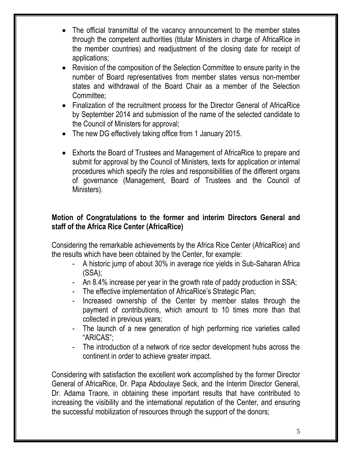- The official transmittal of the vacancy announcement to the member states through the competent authorities (titular Ministers in charge of AfricaRice in the member countries) and readjustment of the closing date for receipt of applications;
- Revision of the composition of the Selection Committee to ensure parity in the number of Board representatives from member states versus non-member states and withdrawal of the Board Chair as a member of the Selection Committee;
- Finalization of the recruitment process for the Director General of AfricaRice by September 2014 and submission of the name of the selected candidate to the Council of Ministers for approval;
- The new DG effectively taking office from 1 January 2015.
- Exhorts the Board of Trustees and Management of AfricaRice to prepare and submit for approval by the Council of Ministers, texts for application or internal procedures which specify the roles and responsibilities of the different organs of governance (Management, Board of Trustees and the Council of Ministers).

## **Motion of Congratulations to the former and interim Directors General and staff of the Africa Rice Center (AfricaRice)**

Considering the remarkable achievements by the Africa Rice Center (AfricaRice) and the results which have been obtained by the Center, for example:

- A historic jump of about 30% in average rice yields in Sub-Saharan Africa (SSA);
- An 8.4% increase per year in the growth rate of paddy production in SSA;
- The effective implementation of AfricaRice's Strategic Plan;
- Increased ownership of the Center by member states through the payment of contributions, which amount to 10 times more than that collected in previous years;
- The launch of a new generation of high performing rice varieties called "ARICAS";
- The introduction of a network of rice sector development hubs across the continent in order to achieve greater impact.

Considering with satisfaction the excellent work accomplished by the former Director General of AfricaRice, Dr. Papa Abdoulaye Seck, and the Interim Director General, Dr. Adama Traore, in obtaining these important results that have contributed to increasing the visibility and the international reputation of the Center, and ensuring the successful mobilization of resources through the support of the donors;